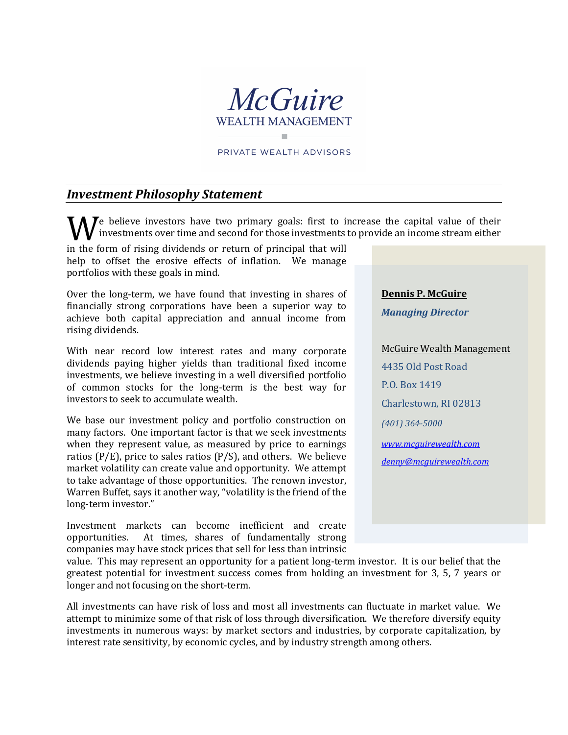

PRIVATE WEALTH ADVISORS

## *Investment Philosophy Statement*

 $\sum$  believe investors have two primary goals: first to increase the capital value of their investments over time and second for those investments to provide an income stream either We believe investors have two primary goals: hist to have investments over time and second for those investments in the form of rising dividends or return of principal that will

help to offset the erosive effects of inflation. We manage portfolios with these goals in mind.

Over the long-term, we have found that investing in shares of financially strong corporations have been a superior way to achieve both capital appreciation and annual income from rising dividends.

With near record low interest rates and many corporate dividends paying higher yields than traditional fixed income investments, we believe investing in a well diversified portfolio of common stocks for the long-term is the best way for investors to seek to accumulate wealth.

We base our investment policy and portfolio construction on many factors. One important factor is that we seek investments when they represent value, as measured by price to earnings ratios ( $P/E$ ), price to sales ratios ( $P/S$ ), and others. We believe market volatility can create value and opportunity. We attempt to take advantage of those opportunities. The renown investor, Warren Buffet, says it another way, "volatility is the friend of the long-term investor."

Investment markets can become inefficient and create opportunities. At times, shares of fundamentally strong At times, shares of fundamentally strong companies may have stock prices that sell for less than intrinsic

**Dennis P. McGuire**

*Managing Director*

McGuire Wealth Management 4435 Old Post Road P.O. Box 1419 Charlestown, RI 02813 *(401) 364-5000 [www.mcguirewealth.com](http://www.mcguirewealth.com/) [denny@mcguirewealth.com](mailto:denny@mcguirewealth.com)*

value. This may represent an opportunity for a patient long-term investor. It is our belief that the greatest potential for investment success comes from holding an investment for 3, 5, 7 years or longer and not focusing on the short-term.

All investments can have risk of loss and most all investments can fluctuate in market value. We attempt to minimize some of that risk of loss through diversification. We therefore diversify equity investments in numerous ways: by market sectors and industries, by corporate capitalization, by interest rate sensitivity, by economic cycles, and by industry strength among others.